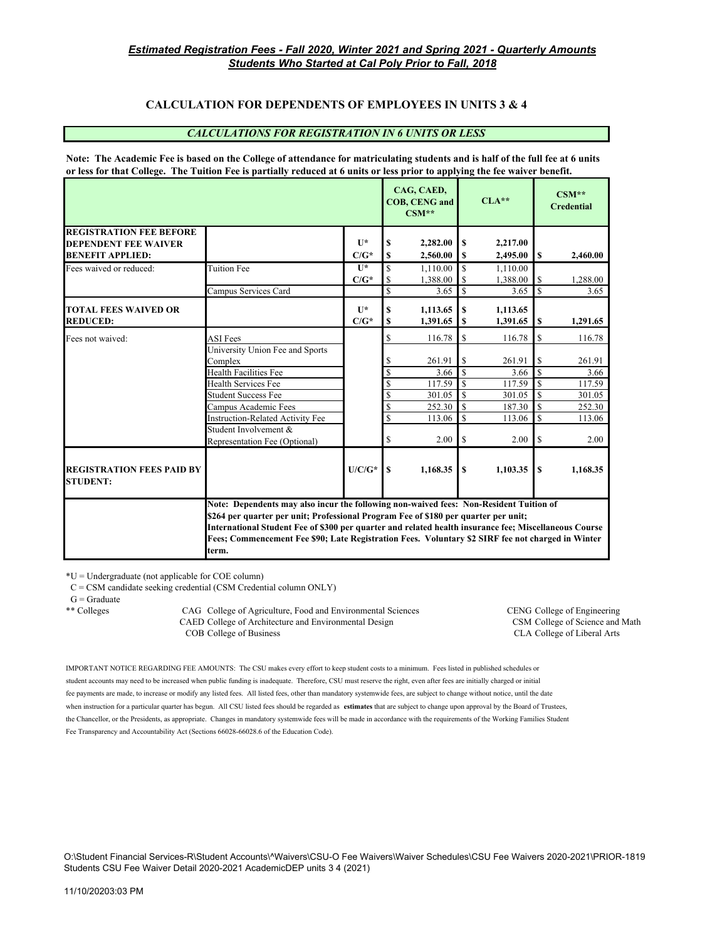## **CALCULATION FOR DEPENDENTS OF EMPLOYEES IN UNITS 3 & 4**

#### *CALCULATIONS FOR REGISTRATION IN 6 UNITS OR LESS*

**Note: The Academic Fee is based on the College of attendance for matriculating students and is half of the full fee at 6 units or less for that College. The Tuition Fee is partially reduced at 6 units or less prior to applying the fee waiver benefit.**

|                                                        |                                                                                                                                                                                                                                                                                                                                                                                                      |                           |                          | CAG, CAED,<br><b>COB, CENG and</b><br>$CSM**$ |                  | $CLA**$              |                         | $CSM**$<br><b>Credential</b> |
|--------------------------------------------------------|------------------------------------------------------------------------------------------------------------------------------------------------------------------------------------------------------------------------------------------------------------------------------------------------------------------------------------------------------------------------------------------------------|---------------------------|--------------------------|-----------------------------------------------|------------------|----------------------|-------------------------|------------------------------|
| <b>REGISTRATION FEE BEFORE</b>                         |                                                                                                                                                                                                                                                                                                                                                                                                      | $\mathbf{I}$ $\mathbf{A}$ |                          |                                               |                  |                      |                         |                              |
| <b>DEPENDENT FEE WAIVER</b><br><b>BENEFIT APPLIED:</b> |                                                                                                                                                                                                                                                                                                                                                                                                      | $C/G^*$                   | S<br>S                   | 2,282.00<br>2,560.00                          | S<br>$\mathbf S$ | 2,217.00<br>2,495.00 | $\mathbf{s}$            | 2,460.00                     |
| Fees waived or reduced:                                | Tuition Fee                                                                                                                                                                                                                                                                                                                                                                                          | $\mathbf{U}^*$            | \$                       | 1.110.00                                      | $\mathbf S$      | 1.110.00             |                         |                              |
|                                                        |                                                                                                                                                                                                                                                                                                                                                                                                      | $C/G^*$                   | <sup>\$</sup>            | 1,388.00                                      |                  | 1,388.00             | S                       | 1,288.00                     |
|                                                        | Campus Services Card                                                                                                                                                                                                                                                                                                                                                                                 |                           | \$                       | 3.65                                          | <sup>\$</sup>    | 3.65                 | $\mathbf S$             | 3.65                         |
| <b>TOTAL FEES WAIVED OR</b>                            |                                                                                                                                                                                                                                                                                                                                                                                                      | $\mathbf{I}$              | S                        | 1,113.65                                      | S                | 1,113.65             |                         |                              |
| <b>REDUCED:</b>                                        |                                                                                                                                                                                                                                                                                                                                                                                                      | $C/G^*$                   | S                        | 1,391.65                                      | S                | 1,391.65             | \$                      | 1,291.65                     |
| Fees not waived:                                       | <b>ASI</b> Fees                                                                                                                                                                                                                                                                                                                                                                                      |                           | <sup>\$</sup>            | 116.78                                        | \$               | 116.78               | S                       | 116.78                       |
|                                                        | University Union Fee and Sports                                                                                                                                                                                                                                                                                                                                                                      |                           |                          |                                               |                  |                      |                         |                              |
|                                                        | Complex                                                                                                                                                                                                                                                                                                                                                                                              |                           | S                        | 261.91                                        | \$               | 261.91               | S                       | 261.91                       |
|                                                        | <b>Health Facilities Fee</b>                                                                                                                                                                                                                                                                                                                                                                         |                           | <sup>\$</sup>            | 3.66                                          | <sup>\$</sup>    | 3.66                 | $\overline{\mathbf{s}}$ | 3.66                         |
|                                                        | <b>Health Services Fee</b>                                                                                                                                                                                                                                                                                                                                                                           |                           | \$                       | 117.59                                        | $\mathcal{S}$    | 117.59               | $\mathbf S$             | 117.59                       |
|                                                        | <b>Student Success Fee</b>                                                                                                                                                                                                                                                                                                                                                                           |                           | <sup>\$</sup>            | 301.05                                        | <b>S</b>         | 301.05               | S                       | 301.05                       |
|                                                        | Campus Academic Fees                                                                                                                                                                                                                                                                                                                                                                                 |                           | \$                       | 252.30                                        | \$               | 187.30               | $\mathbf S$             | 252.30                       |
|                                                        | <b>Instruction-Related Activity Fee</b>                                                                                                                                                                                                                                                                                                                                                              |                           | $\overline{\mathcal{S}}$ | 113.06                                        | $\mathbf S$      | 113.06               | $\mathbf S$             | 113.06                       |
|                                                        | Student Involvement &                                                                                                                                                                                                                                                                                                                                                                                |                           |                          |                                               |                  |                      |                         |                              |
|                                                        | Representation Fee (Optional)                                                                                                                                                                                                                                                                                                                                                                        |                           | \$                       | 2.00                                          | \$               | 2.00                 | $\sqrt{S}$              | 2.00                         |
| <b>REGISTRATION FEES PAID BY</b><br><b>STUDENT:</b>    |                                                                                                                                                                                                                                                                                                                                                                                                      | $U/C/G^*$                 | <b>S</b>                 | 1,168.35                                      | S                | 1,103.35             | l S                     | 1,168.35                     |
|                                                        | Note: Dependents may also incur the following non-waived fees: Non-Resident Tuition of<br>\$264 per quarter per unit; Professional Program Fee of \$180 per quarter per unit;<br>International Student Fee of \$300 per quarter and related health insurance fee; Miscellaneous Course<br>Fees; Commencement Fee \$90; Late Registration Fees. Voluntary \$2 SIRF fee not charged in Winter<br>term. |                           |                          |                                               |                  |                      |                         |                              |

 $*U =$ Undergraduate (not applicable for COE column)

C = CSM candidate seeking credential (CSM Credential column ONLY)

 $G =$ Graduate

\*\* Colleges CAG College of Agriculture, Food and Environmental Sciences CENG College of Engineering CAED College of Architecture and Environmental Design CSM College of Science and Math<br>COB College of Business CLA College of Liberal Arts

CLA College of Liberal Arts

IMPORTANT NOTICE REGARDING FEE AMOUNTS: The CSU makes every effort to keep student costs to a minimum. Fees listed in published schedules or student accounts may need to be increased when public funding is inadequate. Therefore, CSU must reserve the right, even after fees are initially charged or initial fee payments are made, to increase or modify any listed fees. All listed fees, other than mandatory systemwide fees, are subject to change without notice, until the date when instruction for a particular quarter has begun. All CSU listed fees should be regarded as **estimates** that are subject to change upon approval by the Board of Trustees, the Chancellor, or the Presidents, as appropriate. Changes in mandatory systemwide fees will be made in accordance with the requirements of the Working Families Student Fee Transparency and Accountability Act (Sections 66028-66028.6 of the Education Code).

O:\Student Financial Services-R\Student Accounts\^Waivers\CSU-O Fee Waivers\Waiver Schedules\CSU Fee Waivers 2020-2021\PRIOR-1819 Students CSU Fee Waiver Detail 2020-2021 AcademicDEP units 3 4 (2021)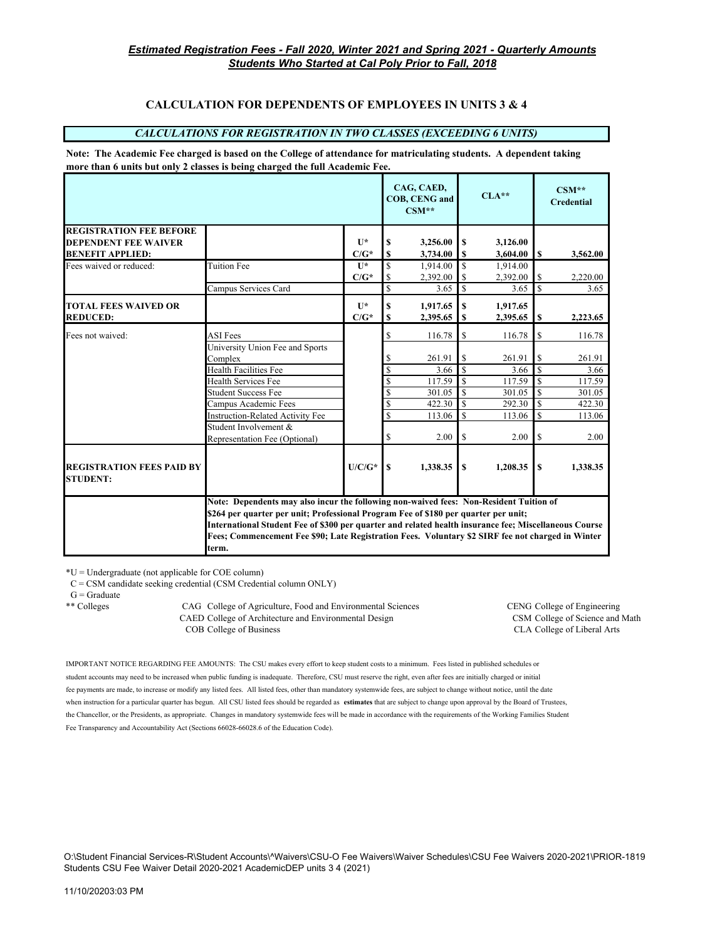## **CALCULATION FOR DEPENDENTS OF EMPLOYEES IN UNITS 3 & 4**

#### *CALCULATIONS FOR REGISTRATION IN TWO CLASSES (EXCEEDING 6 UNITS)*

**Note: The Academic Fee charged is based on the College of attendance for matriculating students. A dependent taking more than 6 units but only 2 classes is being charged the full Academic Fee.**

|                                                     |                                                                                                                                                                                                                                                                                                                                                                                                      |              |    | CAG, CAED,<br><b>COB, CENG and</b><br>$CSM**$ |               | $CLA**$  |          | $CSM**$<br><b>Credential</b> |
|-----------------------------------------------------|------------------------------------------------------------------------------------------------------------------------------------------------------------------------------------------------------------------------------------------------------------------------------------------------------------------------------------------------------------------------------------------------------|--------------|----|-----------------------------------------------|---------------|----------|----------|------------------------------|
| <b>REGISTRATION FEE BEFORE</b>                      |                                                                                                                                                                                                                                                                                                                                                                                                      |              |    |                                               |               |          |          |                              |
| <b>DEPENDENT FEE WAIVER</b>                         |                                                                                                                                                                                                                                                                                                                                                                                                      | $\mathbf{I}$ | S  | 3,256.00                                      | <sup>S</sup>  | 3,126.00 |          |                              |
| <b>BENEFIT APPLIED:</b>                             |                                                                                                                                                                                                                                                                                                                                                                                                      | $C/G^*$      | \$ | 3,734.00                                      | S             | 3,604.00 | S        | 3,562.00                     |
| Fees waived or reduced:                             | <b>Tuition Fee</b>                                                                                                                                                                                                                                                                                                                                                                                   | $\mathbf{I}$ | \$ | 1.914.00                                      | <sup>\$</sup> | 1.914.00 |          |                              |
|                                                     |                                                                                                                                                                                                                                                                                                                                                                                                      | $C/G^*$      | \$ | 2,392.00                                      | S             | 2,392.00 | S        | 2,220.00                     |
|                                                     | Campus Services Card                                                                                                                                                                                                                                                                                                                                                                                 |              | \$ | 3.65                                          | <sup>\$</sup> | 3.65     | \$       | 3.65                         |
| <b>TOTAL FEES WAIVED OR</b>                         |                                                                                                                                                                                                                                                                                                                                                                                                      | $\mathbf{I}$ | \$ | 1,917.65                                      | S             | 1,917.65 |          |                              |
| <b>REDUCED:</b>                                     |                                                                                                                                                                                                                                                                                                                                                                                                      | $C/G^*$      | \$ | 2,395.65                                      | S             | 2,395.65 | \$       | 2,223.65                     |
|                                                     |                                                                                                                                                                                                                                                                                                                                                                                                      |              |    |                                               |               |          |          |                              |
| Fees not waived:                                    | <b>ASI</b> Fees<br>University Union Fee and Sports                                                                                                                                                                                                                                                                                                                                                   |              | \$ | 116.78                                        | \$            | 116.78   | \$       | 116.78                       |
|                                                     | Complex                                                                                                                                                                                                                                                                                                                                                                                              |              | S  | 261.91                                        | \$            | 261.91   | \$       | 261.91                       |
|                                                     | Health Facilities Fee                                                                                                                                                                                                                                                                                                                                                                                |              | \$ | 3.66                                          | $\mathcal{S}$ | 3.66     | S        | 3.66                         |
|                                                     | <b>Health Services Fee</b>                                                                                                                                                                                                                                                                                                                                                                           |              | \$ | 117.59                                        | S             | 117.59   | S        | 117.59                       |
|                                                     | <b>Student Success Fee</b>                                                                                                                                                                                                                                                                                                                                                                           |              | \$ | 301.05                                        | $\mathbb{S}$  | 301.05   | <b>S</b> | 301.05                       |
|                                                     | Campus Academic Fees                                                                                                                                                                                                                                                                                                                                                                                 |              | \$ | 422.30                                        | <sup>\$</sup> | 292.30   | S        | 422.30                       |
|                                                     | <b>Instruction-Related Activity Fee</b>                                                                                                                                                                                                                                                                                                                                                              |              | \$ | 113.06                                        | $\mathcal{S}$ | 113.06   | S        | 113.06                       |
|                                                     | Student Involvement &                                                                                                                                                                                                                                                                                                                                                                                |              |    |                                               |               |          |          |                              |
|                                                     | Representation Fee (Optional)                                                                                                                                                                                                                                                                                                                                                                        |              | \$ | 2.00                                          | \$            | 2.00     | \$       | 2.00                         |
| <b>REGISTRATION FEES PAID BY</b><br><b>STUDENT:</b> |                                                                                                                                                                                                                                                                                                                                                                                                      | $U/C/G^*$    | S  | 1,338.35                                      | $\mathbf{s}$  | 1,208.35 | S        | 1,338.35                     |
|                                                     | Note: Dependents may also incur the following non-waived fees: Non-Resident Tuition of<br>\$264 per quarter per unit; Professional Program Fee of \$180 per quarter per unit;<br>International Student Fee of \$300 per quarter and related health insurance fee; Miscellaneous Course<br>Fees; Commencement Fee \$90; Late Registration Fees. Voluntary \$2 SIRF fee not charged in Winter<br>term. |              |    |                                               |               |          |          |                              |

\*U = Undergraduate (not applicable for COE column)

C = CSM candidate seeking credential (CSM Credential column ONLY)

 $\mathbf{G} = \mathbf{Graduate}$ 

\*\* Colleges CAG College of Agriculture, Food and Environmental Sciences CENG College of Engineering CAED College of Architecture and Environmental Design CSM College of Science and Math COB College of Business CLA College of Liberal Arts

IMPORTANT NOTICE REGARDING FEE AMOUNTS: The CSU makes every effort to keep student costs to a minimum. Fees listed in published schedules or student accounts may need to be increased when public funding is inadequate. Therefore, CSU must reserve the right, even after fees are initially charged or initial fee payments are made, to increase or modify any listed fees. All listed fees, other than mandatory systemwide fees, are subject to change without notice, until the date when instruction for a particular quarter has begun. All CSU listed fees should be regarded as **estimates** that are subject to change upon approval by the Board of Trustees, the Chancellor, or the Presidents, as appropriate. Changes in mandatory systemwide fees will be made in accordance with the requirements of the Working Families Student Fee Transparency and Accountability Act (Sections 66028-66028.6 of the Education Code).

O:\Student Financial Services-R\Student Accounts\^Waivers\CSU-O Fee Waivers\Waiver Schedules\CSU Fee Waivers 2020-2021\PRIOR-1819 Students CSU Fee Waiver Detail 2020-2021 AcademicDEP units 3 4 (2021)